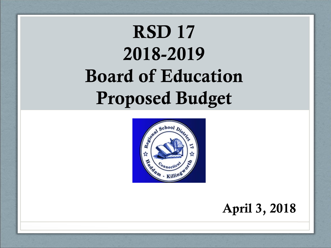# **RSD 17 2018-2019 Board of Education Proposed Budget**



**April 3, 2018**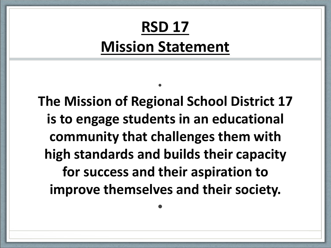## **RSD 17 Mission Statement**

•

**The Mission of Regional School District 17 is to engage students in an educational community that challenges them with high standards and builds their capacity for success and their aspiration to improve themselves and their society.**

•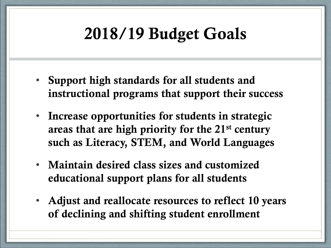## **2018/19 Budget Goals**

- **Support high standards for all students and instructional programs that support their success**
- **Increase opportunities for students in strategic areas that are high priority for the 21st century such as Literacy, STEM, and World Languages**
- **Maintain desired class sizes and customized educational support plans for all students**
- **Adjust and reallocate resources to reflect 10 years of declining and shifting student enrollment**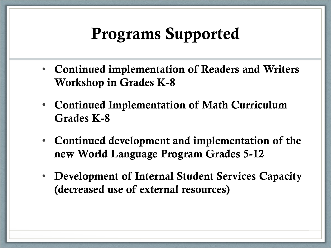### **Programs Supported**

- **Continued implementation of Readers and Writers Workshop in Grades K-8**
- **Continued Implementation of Math Curriculum Grades K-8**
- **Continued development and implementation of the new World Language Program Grades 5-12**
- **Development of Internal Student Services Capacity (decreased use of external resources)**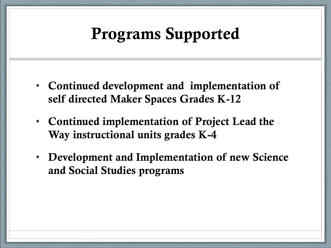### **Programs Supported**

- **Continued development and implementation of self directed Maker Spaces Grades K-12**
- **Continued implementation of Project Lead the Way instructional units grades K-4**
- **Development and Implementation of new Science and Social Studies programs**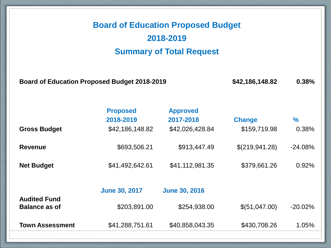### **Board of Education Proposed Budget 2018-2019 Summary of Total Request**

**Board of Education Proposed Budget 2018-2019 \$42,186,148.82 0.38%**

|                                             | <b>Proposed</b><br>2018-2019 | <b>Approved</b><br>2017-2018 | <b>Change</b>  | $\frac{9}{6}$ |
|---------------------------------------------|------------------------------|------------------------------|----------------|---------------|
| <b>Gross Budget</b>                         | \$42,186,148.82              | \$42,026,428.84              | \$159,719.98   | 0.38%         |
| <b>Revenue</b>                              | \$693,506.21                 | \$913,447.49                 | \$(219,941.28) | $-24.08%$     |
| <b>Net Budget</b>                           | \$41,492,642.61              | \$41,112,981.35              | \$379,661.26   | 0.92%         |
|                                             | <b>June 30, 2017</b>         | <b>June 30, 2016</b>         |                |               |
| <b>Audited Fund</b><br><b>Balance as of</b> | \$203,891.00                 | \$254,938.00                 | \$(51,047.00)  | $-20.02%$     |
| <b>Town Assessment</b>                      | \$41,288,751.61              | \$40,858,043.35              | \$430,708.26   | 1.05%         |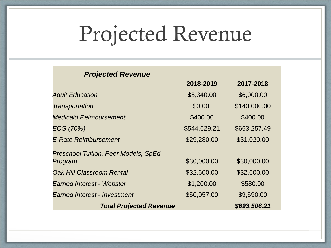# Projected Revenue

**2018-2019 2017-2018**

#### *Projected Revenue*

|                                             | 2018-2019    | ZU'I <i>I</i> - ZU'I 8 |
|---------------------------------------------|--------------|------------------------|
| <b>Adult Education</b>                      | \$5,340.00   | \$6,000.00             |
| Transportation                              | \$0.00       | \$140,000.00           |
| <b>Medicaid Reimbursement</b>               | \$400.00     | \$400.00               |
| ECG (70%)                                   | \$544,629.21 | \$663,257.49           |
| <b>E-Rate Reimbursement</b>                 | \$29,280.00  | \$31,020.00            |
| <b>Preschool Tuition, Peer Models, SpEd</b> |              |                        |
| Program                                     | \$30,000.00  | \$30,000.00            |
| <b>Oak Hill Classroom Rental</b>            | \$32,600.00  | \$32,600.00            |
| <b>Earned Interest - Webster</b>            | \$1,200.00   | \$580.00               |
| <b>Earned Interest - Investment</b>         | \$50,057.00  | \$9,590.00             |
| <b>Total Projected Revenue</b>              |              | \$693,506.21           |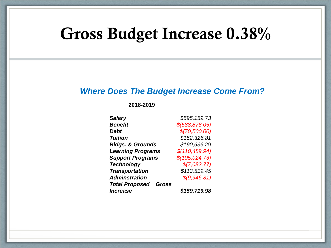### **Gross Budget Increase 0.38%**

#### *Where Does The Budget Increase Come From?*

**2018-2019**

| <b>Salary</b>                         | \$595,159.73     |
|---------------------------------------|------------------|
| <b>Benefit</b>                        | $$$ (588,878.05) |
| <b>Debt</b>                           | \$(70,500.00)    |
| <b>Tuition</b>                        | \$152,326.81     |
| <b>Bldgs. &amp; Grounds</b>           | \$190,636.29     |
| <b>Learning Programs</b>              | \$(110, 489.94)  |
| <b>Support Programs</b>               | \$(105, 024.73)  |
| <b>Technology</b>                     | \$(7,082.77)     |
| <b>Transportation</b>                 | \$113,519.45     |
| <b>Adminstration</b>                  | \$(9,946.81)     |
| <b>Total Proposed</b><br><b>Gross</b> |                  |
| <i><b>Increase</b></i>                | \$159,719.98     |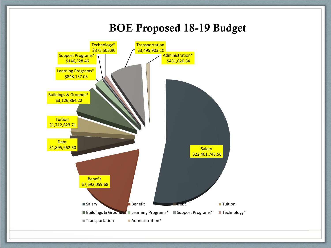### **BOE Proposed 18-19 Budget**

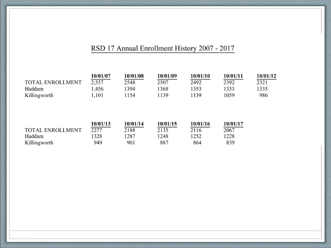#### RSD 17 Annual Enrollment History 2007 - 2017

|                         | 10/01/07 | 10/01/08 | 10/01/09 | 10/01/10 | 10/01/11 | 10/01/12 |
|-------------------------|----------|----------|----------|----------|----------|----------|
| <b>TOTAL ENROLLMENT</b> | 2,557    | 2548     | 2507     | 2492     | 2392     | 2321     |
| Haddam                  | 1,456    | 394      | !368     | 1353     | 1333     | 1335     |
| Killingworth            | 1,101    | 154      | 1139     | 1139     | 1059     | 986      |

|                  | 10/01/13 | 10/01/14 | 10/01/15 | 10/01/16 | 10/01/17 |
|------------------|----------|----------|----------|----------|----------|
| TOTAL ENROLLMENT | 2277     | 2188     | 2135     | 2116     | 2067     |
| Haddam           | 1328     | 1287     | 1248     | 1252     | 1228     |
| Killingworth     | 949      | 901      | 887      | 864      | 839      |